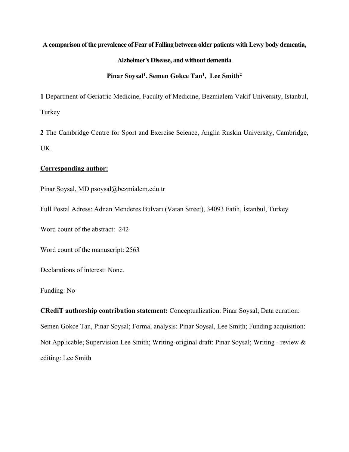# **A comparison of the prevalence of Fear of Falling between older patients with Lewy body dementia,**

# **Alzheimer's Disease, and without dementia**

# Pinar Soysal<sup>1</sup>, Semen Gokce Tan<sup>1</sup>, Lee Smith<sup>2</sup>

**1** Department of Geriatric Medicine, Faculty of Medicine, Bezmialem Vakif University, Istanbul, Turkey

**2** The Cambridge Centre for Sport and Exercise Science, Anglia Ruskin University, Cambridge, UK.

### **Corresponding author:**

Pinar Soysal, MD psoysal@bezmialem.edu.tr

Full Postal Adress: Adnan Menderes Bulvarı (Vatan Street), 34093 Fatih, İstanbul, Turkey

Word count of the abstract: 242

Word count of the manuscript: 2563

Declarations of interest: None.

Funding: No

**CRediT authorship contribution statement:** Conceptualization: Pinar Soysal; Data curation: Semen Gokce Tan, Pinar Soysal; Formal analysis: Pinar Soysal, Lee Smith; Funding acquisition: Not Applicable; Supervision Lee Smith; Writing-original draft: Pinar Soysal; Writing - review & editing: Lee Smith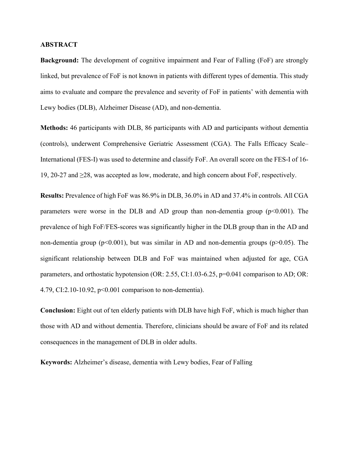### **ABSTRACT**

**Background:** The development of cognitive impairment and Fear of Falling (FoF) are strongly linked, but prevalence of FoF is not known in patients with different types of dementia. This study aims to evaluate and compare the prevalence and severity of FoF in patients' with dementia with Lewy bodies (DLB), Alzheimer Disease (AD), and non-dementia.

**Methods:** 46 participants with DLB, 86 participants with AD and participants without dementia (controls), underwent Comprehensive Geriatric Assessment (CGA). The Falls Efficacy Scale– International (FES-I) was used to determine and classify FoF. An overall score on the FES-I of 16- 19, 20-27 and ≥28, was accepted as low, moderate, and high concern about FoF, respectively.

**Results:** Prevalence of high FoF was 86.9% in DLB, 36.0% in AD and 37.4% in controls. All CGA parameters were worse in the DLB and AD group than non-dementia group  $(p<0.001)$ . The prevalence of high FoF/FES-scores was significantly higher in the DLB group than in the AD and non-dementia group ( $p<0.001$ ), but was similar in AD and non-dementia groups ( $p>0.05$ ). The significant relationship between DLB and FoF was maintained when adjusted for age, CGA parameters, and orthostatic hypotension (OR: 2.55, CI:1.03-6.25, p=0.041 comparison to AD; OR: 4.79, CI:2.10-10.92, p<0.001 comparison to non-dementia).

**Conclusion:** Eight out of ten elderly patients with DLB have high FoF, which is much higher than those with AD and without dementia. Therefore, clinicians should be aware of FoF and its related consequences in the management of DLB in older adults.

**Keywords:** Alzheimer's disease, dementia with Lewy bodies, Fear of Falling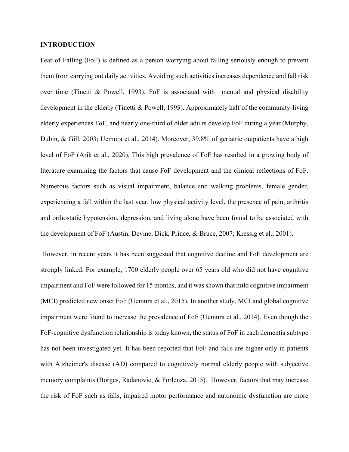# **INTRODUCTION**

Fear of Falling (FoF) is defined as a person worrying about falling seriously enough to prevent them from carrying out daily activities. Avoiding such activities increases dependence and fall risk over time (Tinetti & Powell, 1993). FoF is associated with mental and physical disability development in the elderly (Tinetti & Powell, 1993). Approximately half of the community-living elderly experiences FoF, and nearly one-third of older adults develop FoF during a year (Murphy, Dubin, & Gill, 2003; Uemura et al., 2014). Moreover, 39.8% of geriatric outpatients have a high level of FoF (Arik et al., 2020). This high prevalence of FoF has resulted in a growing body of literature examining the factors that cause FoF development and the clinical reflections of FoF. Numerous factors such as visual impairment, balance and walking problems, female gender, experiencing a fall within the last year, low physical activity level, the presence of pain, arthritis and orthostatic hypotension, depression, and living alone have been found to be associated with the development of FoF (Austin, Devine, Dick, Prince, & Bruce, 2007; Kressig et al., 2001).

However, in recent years it has been suggested that cognitive decline and FoF development are strongly linked. For example, 1700 elderly people over 65 years old who did not have cognitive impairment and FoF were followed for 15 months, and it was shown that mild cognitive impairment (MCI) predicted new onset FoF (Uemura et al., 2015). In another study, MCI and global cognitive impairment were found to increase the prevalence of FoF (Uemura et al., 2014). Even though the FoF-cognitive dysfunction relationship is today known, the status of FoF in each dementia subtype has not been investigated yet. It has been reported that FoF and falls are higher only in patients with Alzheimer's disease (AD) compared to cognitively normal elderly people with subjective memory complaints (Borges, Radanovic, & Forlenza, 2015). However, factors that may increase the risk of FoF such as falls, impaired motor performance and autonomic dysfunction are more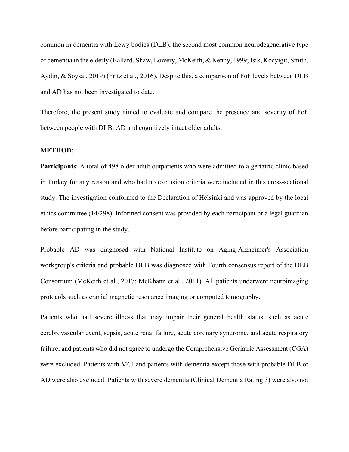common in dementia with Lewy bodies (DLB), the second most common neurodegenerative type of dementia in the elderly (Ballard, Shaw, Lowery, McKeith, & Kenny, 1999; Isik, Kocyigit, Smith, Aydin, & Soysal, 2019) (Fritz et al., 2016). Despite this, a comparison of FoF levels between DLB and AD has not been investigated to date.

Therefore, the present study aimed to evaluate and compare the presence and severity of FoF between people with DLB, AD and cognitively intact older adults.

# **METHOD:**

**Participants**: A total of 498 older adult outpatients who were admitted to a geriatric clinic based in Turkey for any reason and who had no exclusion criteria were included in this cross-sectional study. The investigation conformed to the Declaration of Helsinki and was approved by the local ethics committee (14/298). Informed consent was provided by each participant or a legal guardian before participating in the study.

Probable AD was diagnosed with National Institute on Aging-Alzheimer's Association workgroup's criteria and probable DLB was diagnosed with Fourth consensus report of the DLB Consortium (McKeith et al., 2017; McKhann et al., 2011). All patients underwent neuroimaging protocols such as cranial magnetic resonance imaging or computed tomography.

Patients who had severe illness that may impair their general health status, such as acute cerebrovascular event, sepsis, acute renal failure, acute coronary syndrome, and acute respiratory failure; and patients who did not agree to undergo the Comprehensive Geriatric Assessment (CGA) were excluded. Patients with MCI and patients with dementia except those with probable DLB or AD were also excluded. Patients with severe dementia (Clinical Dementia Rating 3) were also not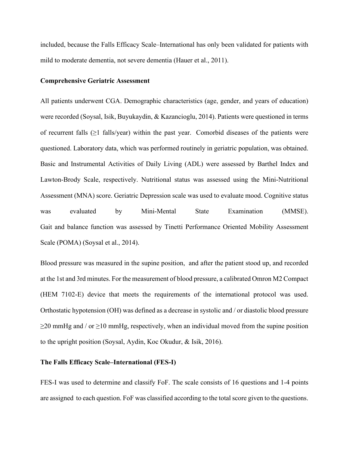included, because the Falls Efficacy Scale–International has only been validated for patients with mild to moderate dementia, not severe dementia (Hauer et al., 2011).

#### **Comprehensive Geriatric Assessment**

All patients underwent CGA. Demographic characteristics (age, gender, and years of education) were recorded (Soysal, Isik, Buyukaydin, & Kazancioglu, 2014). Patients were questioned in terms of recurrent falls  $(\geq 1)$  falls/year) within the past year. Comorbid diseases of the patients were questioned. Laboratory data, which was performed routinely in geriatric population, was obtained. Basic and Instrumental Activities of Daily Living (ADL) were assessed by Barthel Index and Lawton-Brody Scale, respectively. Nutritional status was assessed using the Mini-Nutritional Assessment (MNA) score. Geriatric Depression scale was used to evaluate mood. Cognitive status was evaluated by Mini-Mental State Examination (MMSE). [Gait and balance function was assessed by Tinetti Performance Oriented Mobility Assessment](https://www.leadingagemn.org/assets/docs/Tinetti-Balance-Gait--POMA.pdf)  [Scale \(POMA\)](https://www.leadingagemn.org/assets/docs/Tinetti-Balance-Gait--POMA.pdf) (Soysal et al., 2014).

Blood pressure was measured in the supine position, and after the patient stood up, and recorded at the 1st and 3rd minutes. For the measurement of blood pressure, a calibrated Omron M2 Compact (HEM 7102-E) device that meets the requirements of the international protocol was used. Orthostatic hypotension (OH) was defined as a decrease in systolic and / or diastolic blood pressure  $\geq$ 20 mmHg and / or  $\geq$ 10 mmHg, respectively, when an individual moved from the supine position to the upright position (Soysal, Aydin, Koc Okudur, & Isik, 2016).

# **The Falls Efficacy Scale–International (FES-I)**

FES-I was used to determine and classify FoF. The scale consists of 16 questions and 1-4 points are assigned to each question. FoF was classified according to the total score given to the questions.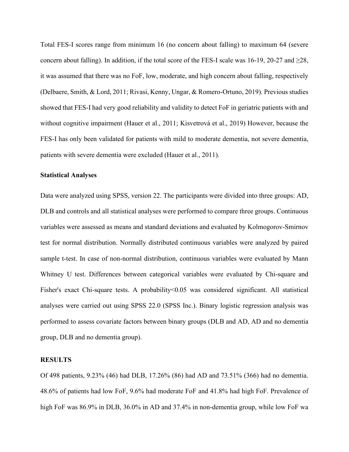Total FES-I scores range from minimum 16 (no concern about falling) to maximum 64 (severe concern about falling). In addition, if the total score of the FES-I scale was 16-19, 20-27 and  $\geq 28$ , it was assumed that there was no FoF, low, moderate, and high concern about falling, respectively (Delbaere, Smith, & Lord, 2011; Rivasi, Kenny, Ungar, & Romero-Ortuno, 2019). Previous studies showed that FES-I had very good reliability and validity to detect FoF in geriatric patients with and without cognitive impairment (Hauer et al., 2011; Kisvetrová et al., 2019) However, because the FES-I has only been validated for patients with mild to moderate dementia, not severe dementia, patients with severe dementia were excluded (Hauer et al., 2011).

#### **Statistical Analyses**

Data were analyzed using SPSS, version 22. The participants were divided into three groups: AD, DLB and controls and all statistical analyses were performed to compare three groups. Continuous variables were assessed as means and standard deviations and evaluated by Kolmogorov-Smirnov test for normal distribution. Normally distributed continuous variables were analyzed by paired sample t-test. In case of non-normal distribution, continuous variables were evaluated by Mann Whitney U test. Differences between categorical variables were evaluated by Chi-square and Fisher's exact Chi-square tests. A probability<0.05 was considered significant. All statistical analyses were carried out using SPSS 22.0 (SPSS Inc.). Binary logistic regression analysis was performed to assess covariate factors between binary groups (DLB and AD, AD and no dementia group, DLB and no dementia group).

# **RESULTS**

Of 498 patients, 9.23% (46) had DLB, 17.26% (86) had AD and 73.51% (366) had no dementia. 48.6% of patients had low FoF, 9.6% had moderate FoF and 41.8% had high FoF. Prevalence of high FoF was 86.9% in DLB, 36.0% in AD and 37.4% in non-dementia group, while low FoF wa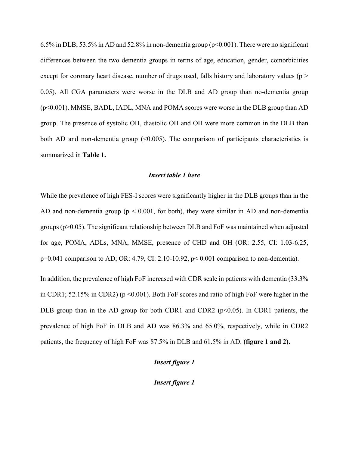6.5% in DLB, 53.5% in AD and 52.8% in non-dementia group (p<0.001). There were no significant differences between the two dementia groups in terms of age, education, gender, comorbidities except for coronary heart disease, number of drugs used, falls history and laboratory values ( $p >$ 0.05). All CGA parameters were worse in the DLB and AD group than no-dementia group (p<0.001). MMSE, BADL, IADL, MNA and POMA scores were worse in the DLB group than AD group. The presence of systolic OH, diastolic OH and OH were more common in the DLB than both AD and non-dementia group  $( $0.005$ ). The comparison of participants characteristics is$ summarized in **Table 1.**

#### *Insert table 1 here*

While the prevalence of high FES-I scores were significantly higher in the DLB groups than in the AD and non-dementia group (p < 0.001, for both), they were similar in AD and non-dementia groups (p>0.05). The significant relationship between DLB and FoF was maintained when adjusted for age, POMA, ADLs, MNA, MMSE, presence of CHD and OH (OR: 2.55, CI: 1.03-6.25, p=0.041 comparison to AD; OR: 4.79, CI: 2.10-10.92, p< 0.001 comparison to non-dementia).

In addition, the prevalence of high FoF increased with CDR scale in patients with dementia (33.3% in CDR1; 52.15% in CDR2) ( $p \le 0.001$ ). Both FoF scores and ratio of high FoF were higher in the DLB group than in the AD group for both CDR1 and CDR2 ( $p<0.05$ ). In CDR1 patients, the prevalence of high FoF in DLB and AD was 86.3% and 65.0%, respectively, while in CDR2 patients, the frequency of high FoF was 87.5% in DLB and 61.5% in AD. **(figure 1 and 2).**

# *Insert figure 1*

*Insert figure 1*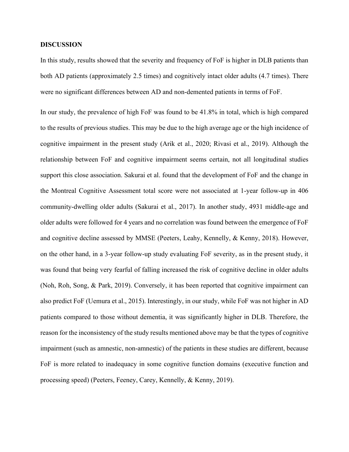### **DISCUSSION**

In this study, results showed that the severity and frequency of FoF is higher in DLB patients than both AD patients (approximately 2.5 times) and cognitively intact older adults (4.7 times). There were no significant differences between AD and non-demented patients in terms of FoF.

In our study, the prevalence of high FoF was found to be 41.8% in total, which is high compared to the results of previous studies. This may be due to the high average age or the high incidence of cognitive impairment in the present study (Arik et al., 2020; Rivasi et al., 2019). Although the relationship between FoF and cognitive impairment seems certain, not all longitudinal studies support this close association. Sakurai et al. found that the development of FoF and the change in the Montreal Cognitive Assessment total score were not associated at 1-year follow-up in 406 community-dwelling older adults (Sakurai et al., 2017). In another study, 4931 middle-age and older adults were followed for 4 years and no correlation was found between the emergence of FoF and cognitive decline assessed by MMSE (Peeters, Leahy, Kennelly, & Kenny, 2018). However, on the other hand, in a 3-year follow-up study evaluating FoF severity, as in the present study, it was found that being very fearful of falling increased the risk of cognitive decline in older adults (Noh, Roh, Song, & Park, 2019). Conversely, it has been reported that cognitive impairment can also predict FoF (Uemura et al., 2015). Interestingly, in our study, while FoF was not higher in AD patients compared to those without dementia, it was significantly higher in DLB. Therefore, the reason for the inconsistency of the study results mentioned above may be that the types of cognitive impairment (such as amnestic, non-amnestic) of the patients in these studies are different, because FoF is more related to inadequacy in some cognitive function domains (executive function and processing speed) (Peeters, Feeney, Carey, Kennelly, & Kenny, 2019).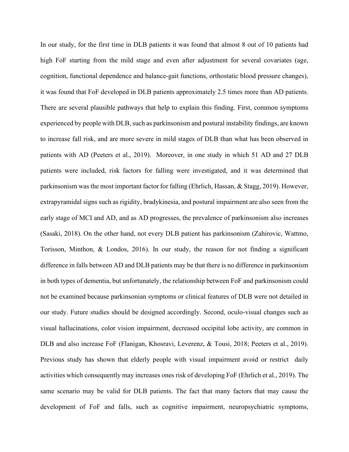In our study, for the first time in DLB patients it was found that almost 8 out of 10 patients had high FoF starting from the mild stage and even after adjustment for several covariates (age, cognition, functional dependence and balance-gait functions, orthostatic blood pressure changes), it was found that FoF developed in DLB patients approximately 2.5 times more than AD patients. There are several plausible pathways that help to explain this finding. First, common symptoms experienced by people with DLB, such as parkinsonism and postural instability findings, are known to increase fall risk, and are more severe in mild stages of DLB than what has been observed in patients with AD (Peeters et al., 2019). Moreover, in one study in which 51 AD and 27 DLB patients were included, risk factors for falling were investigated, and it was determined that parkinsonism was the most important factor for falling (Ehrlich, Hassan, & Stagg, 2019). However, extrapyramidal signs such as rigidity, bradykinesia, and postural impairment are also seen from the early stage of MCI and AD, and as AD progresses, the prevalence of parkinsonism also increases (Sasaki, 2018). On the other hand, not every DLB patient has parkinsonism (Zahirovic, Wattmo, Torisson, Minthon, & Londos, 2016). In our study, the reason for not finding a significant difference in falls between AD and DLB patients may be that there is no difference in parkinsonism in both types of dementia, but unfortunately, the relationship between FoF and parkinsonism could not be examined because parkinsonian symptoms or clinical features of DLB were not detailed in our study. Future studies should be designed accordingly. Second, oculo-visual changes such as visual hallucinations, color vision impairment, decreased occipital lobe activity, are common in DLB and also increase FoF (Flanigan, Khosravi, Leverenz, & Tousi, 2018; Peeters et al., 2019). Previous study has shown that elderly people with visual impairment avoid or restrict daily activities which consequently may increases ones risk of developing FoF (Ehrlich et al., 2019). The same scenario may be valid for DLB patients. The fact that many factors that may cause the development of FoF and falls, such as cognitive impairment, neuropsychiatric symptoms,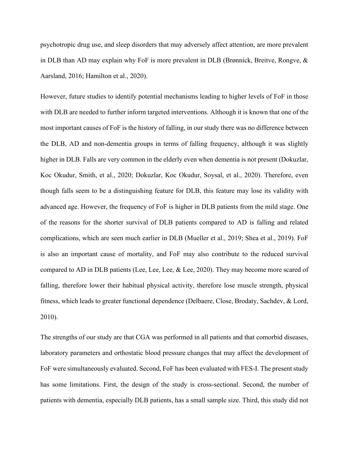psychotropic drug use, and sleep disorders that may adversely affect attention, are more prevalent in DLB than AD may explain why FoF is more prevalent in DLB (Brønnick, Breitve, Rongve, & Aarsland, 2016; Hamilton et al., 2020).

However, future studies to identify potential mechanisms leading to higher levels of FoF in those with DLB are needed to further inform targeted interventions. Although it is known that one of the most important causes of FoF is the history of falling, in our study there was no difference between the DLB, AD and non-dementia groups in terms of falling frequency, although it was slightly higher in DLB. Falls are very common in the elderly even when dementia is not present (Dokuzlar, Koc Okudur, Smith, et al., 2020; Dokuzlar, Koc Okudur, Soysal, et al., 2020). Therefore, even though falls seem to be a distinguishing feature for DLB, this feature may lose its validity with advanced age. However, the frequency of FoF is higher in DLB patients from the mild stage. One of the reasons for the shorter survival of DLB patients compared to AD is falling and related complications, which are seen much earlier in DLB (Mueller et al., 2019; Shea et al., 2019). FoF is also an important cause of mortality, and FoF may also contribute to the reduced survival compared to AD in DLB patients (Lee, Lee, Lee, & Lee, 2020). They may become more scared of falling, therefore lower their habitual physical activity, therefore lose muscle strength, physical fitness, which leads to greater functional dependence (Delbaere, Close, Brodaty, Sachdev, & Lord, 2010).

The strengths of our study are that CGA was performed in all patients and that comorbid diseases, laboratory parameters and orthostatic blood pressure changes that may affect the development of FoF were simultaneously evaluated. Second, FoF has been evaluated with FES-I. The present study has some limitations. First, the design of the study is cross-sectional. Second, the number of patients with dementia, especially DLB patients, has a small sample size. Third, this study did not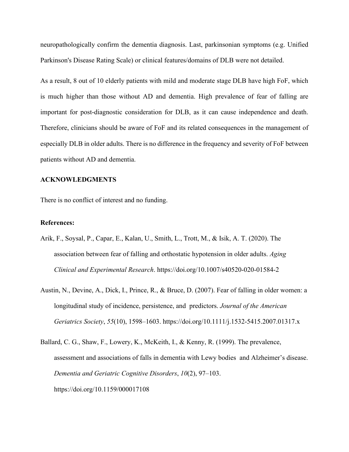neuropathologically confirm the dementia diagnosis. Last, parkinsonian symptoms (e.g. Unified Parkinson's Disease Rating Scale) or clinical features/domains of DLB were not detailed.

As a result, 8 out of 10 elderly patients with mild and moderate stage DLB have high FoF, which is much higher than those without AD and dementia. High prevalence of fear of falling are important for post-diagnostic consideration for DLB, as it can cause independence and death. Therefore, clinicians should be aware of FoF and its related consequences in the management of especially DLB in older adults. There is no difference in the frequency and severity of FoF between patients without AD and dementia.

### **ACKNOWLEDGMENTS**

There is no conflict of interest and no funding.

### **References:**

- Arik, F., Soysal, P., Capar, E., Kalan, U., Smith, L., Trott, M., & Isik, A. T. (2020). The association between fear of falling and orthostatic hypotension in older adults. *Aging Clinical and Experimental Research*. https://doi.org/10.1007/s40520-020-01584-2
- Austin, N., Devine, A., Dick, I., Prince, R., & Bruce, D. (2007). Fear of falling in older women: a longitudinal study of incidence, persistence, and predictors. *Journal of the American Geriatrics Society*, *55*(10), 1598–1603. https://doi.org/10.1111/j.1532-5415.2007.01317.x
- Ballard, C. G., Shaw, F., Lowery, K., McKeith, I., & Kenny, R. (1999). The prevalence, assessment and associations of falls in dementia with Lewy bodies and Alzheimer's disease. *Dementia and Geriatric Cognitive Disorders*, *10*(2), 97–103. https://doi.org/10.1159/000017108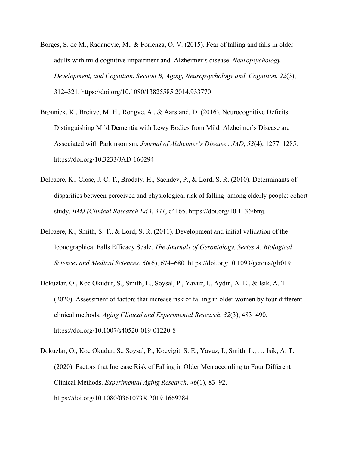- Borges, S. de M., Radanovic, M., & Forlenza, O. V. (2015). Fear of falling and falls in older adults with mild cognitive impairment and Alzheimer's disease. *Neuropsychology, Development, and Cognition. Section B, Aging, Neuropsychology and Cognition*, *22*(3), 312–321. https://doi.org/10.1080/13825585.2014.933770
- Brønnick, K., Breitve, M. H., Rongve, A., & Aarsland, D. (2016). Neurocognitive Deficits Distinguishing Mild Dementia with Lewy Bodies from Mild Alzheimer's Disease are Associated with Parkinsonism. *Journal of Alzheimer's Disease : JAD*, *53*(4), 1277–1285. https://doi.org/10.3233/JAD-160294
- Delbaere, K., Close, J. C. T., Brodaty, H., Sachdev, P., & Lord, S. R. (2010). Determinants of disparities between perceived and physiological risk of falling among elderly people: cohort study. *BMJ (Clinical Research Ed.)*, *341*, c4165. https://doi.org/10.1136/bmj.
- Delbaere, K., Smith, S. T., & Lord, S. R. (2011). Development and initial validation of the Iconographical Falls Efficacy Scale. *The Journals of Gerontology. Series A, Biological Sciences and Medical Sciences*, *66*(6), 674–680. https://doi.org/10.1093/gerona/glr019
- Dokuzlar, O., Koc Okudur, S., Smith, L., Soysal, P., Yavuz, I., Aydin, A. E., & Isik, A. T. (2020). Assessment of factors that increase risk of falling in older women by four different clinical methods. *Aging Clinical and Experimental Research*, *32*(3), 483–490. https://doi.org/10.1007/s40520-019-01220-8
- Dokuzlar, O., Koc Okudur, S., Soysal, P., Kocyigit, S. E., Yavuz, I., Smith, L., … Isik, A. T. (2020). Factors that Increase Risk of Falling in Older Men according to Four Different Clinical Methods. *Experimental Aging Research*, *46*(1), 83–92. https://doi.org/10.1080/0361073X.2019.1669284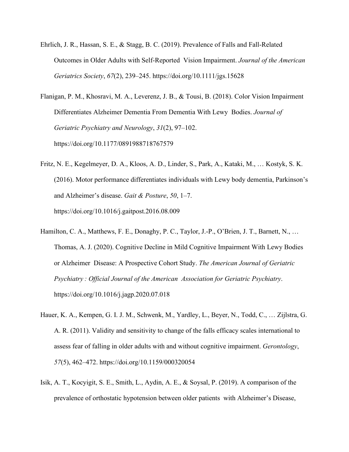- Ehrlich, J. R., Hassan, S. E., & Stagg, B. C. (2019). Prevalence of Falls and Fall-Related Outcomes in Older Adults with Self-Reported Vision Impairment. *Journal of the American Geriatrics Society*, *67*(2), 239–245. https://doi.org/10.1111/jgs.15628
- Flanigan, P. M., Khosravi, M. A., Leverenz, J. B., & Tousi, B. (2018). Color Vision Impairment Differentiates Alzheimer Dementia From Dementia With Lewy Bodies. *Journal of Geriatric Psychiatry and Neurology*, *31*(2), 97–102. https://doi.org/10.1177/0891988718767579
- Fritz, N. E., Kegelmeyer, D. A., Kloos, A. D., Linder, S., Park, A., Kataki, M., … Kostyk, S. K. (2016). Motor performance differentiates individuals with Lewy body dementia, Parkinson's and Alzheimer's disease. *Gait & Posture*, *50*, 1–7. https://doi.org/10.1016/j.gaitpost.2016.08.009
- Hamilton, C. A., Matthews, F. E., Donaghy, P. C., Taylor, J.-P., O'Brien, J. T., Barnett, N., … Thomas, A. J. (2020). Cognitive Decline in Mild Cognitive Impairment With Lewy Bodies or Alzheimer Disease: A Prospective Cohort Study. *The American Journal of Geriatric Psychiatry : Official Journal of the American Association for Geriatric Psychiatry*. https://doi.org/10.1016/j.jagp.2020.07.018
- Hauer, K. A., Kempen, G. I. J. M., Schwenk, M., Yardley, L., Beyer, N., Todd, C., … Zijlstra, G. A. R. (2011). Validity and sensitivity to change of the falls efficacy scales international to assess fear of falling in older adults with and without cognitive impairment. *Gerontology*, *57*(5), 462–472. https://doi.org/10.1159/000320054
- Isik, A. T., Kocyigit, S. E., Smith, L., Aydin, A. E., & Soysal, P. (2019). A comparison of the prevalence of orthostatic hypotension between older patients with Alzheimer's Disease,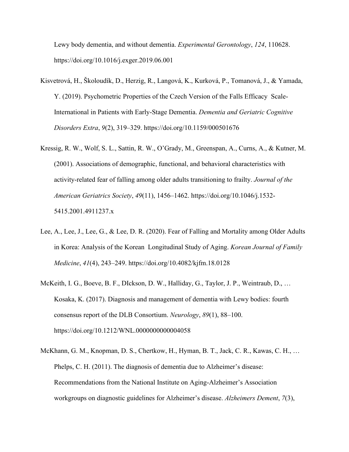Lewy body dementia, and without dementia. *Experimental Gerontology*, *124*, 110628. https://doi.org/10.1016/j.exger.2019.06.001

- Kisvetrová, H., Školoudík, D., Herzig, R., Langová, K., Kurková, P., Tomanová, J., & Yamada, Y. (2019). Psychometric Properties of the Czech Version of the Falls Efficacy Scale-International in Patients with Early-Stage Dementia. *Dementia and Geriatric Cognitive Disorders Extra*, *9*(2), 319–329. https://doi.org/10.1159/000501676
- Kressig, R. W., Wolf, S. L., Sattin, R. W., O'Grady, M., Greenspan, A., Curns, A., & Kutner, M. (2001). Associations of demographic, functional, and behavioral characteristics with activity-related fear of falling among older adults transitioning to frailty. *Journal of the American Geriatrics Society*, *49*(11), 1456–1462. https://doi.org/10.1046/j.1532- 5415.2001.4911237.x
- Lee, A., Lee, J., Lee, G., & Lee, D. R. (2020). Fear of Falling and Mortality among Older Adults in Korea: Analysis of the Korean Longitudinal Study of Aging. *Korean Journal of Family Medicine*, *41*(4), 243–249. https://doi.org/10.4082/kjfm.18.0128
- McKeith, I. G., Boeve, B. F., DIckson, D. W., Halliday, G., Taylor, J. P., Weintraub, D., … Kosaka, K. (2017). Diagnosis and management of dementia with Lewy bodies: fourth consensus report of the DLB Consortium. *Neurology*, *89*(1), 88–100. https://doi.org/10.1212/WNL.0000000000004058
- McKhann, G. M., Knopman, D. S., Chertkow, H., Hyman, B. T., Jack, C. R., Kawas, C. H., … Phelps, C. H. (2011). The diagnosis of dementia due to Alzheimer's disease: Recommendations from the National Institute on Aging-Alzheimer's Association workgroups on diagnostic guidelines for Alzheimer's disease. *Alzheimers Dement*, *7*(3),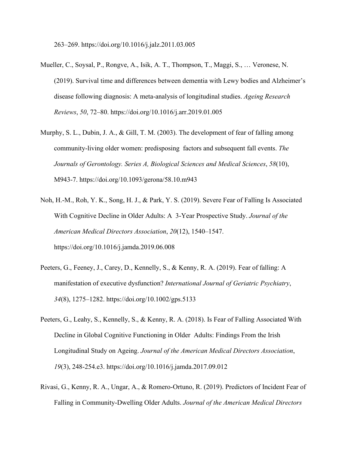263–269. https://doi.org/10.1016/j.jalz.2011.03.005

- Mueller, C., Soysal, P., Rongve, A., Isik, A. T., Thompson, T., Maggi, S., … Veronese, N. (2019). Survival time and differences between dementia with Lewy bodies and Alzheimer's disease following diagnosis: A meta-analysis of longitudinal studies. *Ageing Research Reviews*, *50*, 72–80. https://doi.org/10.1016/j.arr.2019.01.005
- Murphy, S. L., Dubin, J. A., & Gill, T. M. (2003). The development of fear of falling among community-living older women: predisposing factors and subsequent fall events. *The Journals of Gerontology. Series A, Biological Sciences and Medical Sciences*, *58*(10), M943-7. https://doi.org/10.1093/gerona/58.10.m943
- Noh, H.-M., Roh, Y. K., Song, H. J., & Park, Y. S. (2019). Severe Fear of Falling Is Associated With Cognitive Decline in Older Adults: A 3-Year Prospective Study. *Journal of the American Medical Directors Association*, *20*(12), 1540–1547. https://doi.org/10.1016/j.jamda.2019.06.008
- Peeters, G., Feeney, J., Carey, D., Kennelly, S., & Kenny, R. A. (2019). Fear of falling: A manifestation of executive dysfunction? *International Journal of Geriatric Psychiatry*, *34*(8), 1275–1282. https://doi.org/10.1002/gps.5133
- Peeters, G., Leahy, S., Kennelly, S., & Kenny, R. A. (2018). Is Fear of Falling Associated With Decline in Global Cognitive Functioning in Older Adults: Findings From the Irish Longitudinal Study on Ageing. *Journal of the American Medical Directors Association*, *19*(3), 248-254.e3. https://doi.org/10.1016/j.jamda.2017.09.012
- Rivasi, G., Kenny, R. A., Ungar, A., & Romero-Ortuno, R. (2019). Predictors of Incident Fear of Falling in Community-Dwelling Older Adults. *Journal of the American Medical Directors*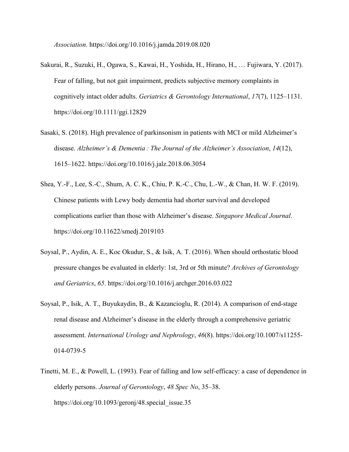*Association*. https://doi.org/10.1016/j.jamda.2019.08.020

- Sakurai, R., Suzuki, H., Ogawa, S., Kawai, H., Yoshida, H., Hirano, H., … Fujiwara, Y. (2017). Fear of falling, but not gait impairment, predicts subjective memory complaints in cognitively intact older adults. *Geriatrics & Gerontology International*, *17*(7), 1125–1131. https://doi.org/10.1111/ggi.12829
- Sasaki, S. (2018). High prevalence of parkinsonism in patients with MCI or mild Alzheimer's disease. *Alzheimer's & Dementia : The Journal of the Alzheimer's Association*, *14*(12), 1615–1622. https://doi.org/10.1016/j.jalz.2018.06.3054
- Shea, Y.-F., Lee, S.-C., Shum, A. C. K., Chiu, P. K.-C., Chu, L.-W., & Chan, H. W. F. (2019). Chinese patients with Lewy body dementia had shorter survival and developed complications earlier than those with Alzheimer's disease. *Singapore Medical Journal*. https://doi.org/10.11622/smedj.2019103
- Soysal, P., Aydin, A. E., Koc Okudur, S., & Isik, A. T. (2016). When should orthostatic blood pressure changes be evaluated in elderly: 1st, 3rd or 5th minute? *Archives of Gerontology and Geriatrics*, *65*. https://doi.org/10.1016/j.archger.2016.03.022
- Soysal, P., Isik, A. T., Buyukaydin, B., & Kazancioglu, R. (2014). A comparison of end-stage renal disease and Alzheimer's disease in the elderly through a comprehensive geriatric assessment. *International Urology and Nephrology*, *46*(8). https://doi.org/10.1007/s11255- 014-0739-5
- Tinetti, M. E., & Powell, L. (1993). Fear of falling and low self-efficacy: a case of dependence in elderly persons. *Journal of Gerontology*, *48 Spec No*, 35–38. https://doi.org/10.1093/geronj/48.special\_issue.35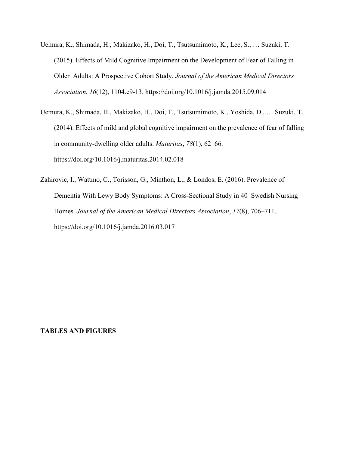- Uemura, K., Shimada, H., Makizako, H., Doi, T., Tsutsumimoto, K., Lee, S., … Suzuki, T. (2015). Effects of Mild Cognitive Impairment on the Development of Fear of Falling in Older Adults: A Prospective Cohort Study. *Journal of the American Medical Directors Association*, *16*(12), 1104.e9-13. https://doi.org/10.1016/j.jamda.2015.09.014
- Uemura, K., Shimada, H., Makizako, H., Doi, T., Tsutsumimoto, K., Yoshida, D., … Suzuki, T. (2014). Effects of mild and global cognitive impairment on the prevalence of fear of falling in community-dwelling older adults. *Maturitas*, *78*(1), 62–66. https://doi.org/10.1016/j.maturitas.2014.02.018
- Zahirovic, I., Wattmo, C., Torisson, G., Minthon, L., & Londos, E. (2016). Prevalence of Dementia With Lewy Body Symptoms: A Cross-Sectional Study in 40 Swedish Nursing Homes. *Journal of the American Medical Directors Association*, *17*(8), 706–711. https://doi.org/10.1016/j.jamda.2016.03.017

### **TABLES AND FIGURES**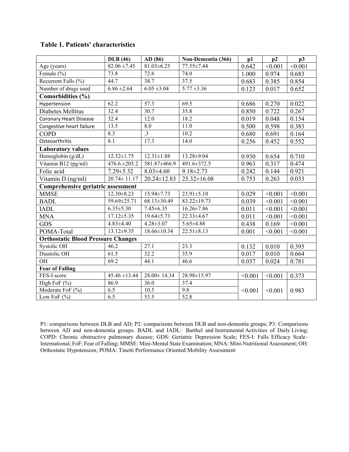# **Table 1. Patients' characteristics**

|                                           | <b>DLB</b> (46)   | AD(86)            | Non-Dementia (366) | p1      | p2      | p3      |
|-------------------------------------------|-------------------|-------------------|--------------------|---------|---------|---------|
| Age (years)                               | $82.06 \pm 7.45$  | $81.03 \pm 6.25$  | 77.55±7.44         | 0.642   | < 0.001 | < 0.001 |
| Female (%)                                | 73.8              | 72.6              | 74.0               | 1.000   | 0.974   | 0.683   |
| Recurrent Falls (%)                       | 44.7              | 38.7              | 37.5               | 0.683   | 0.385   | 0.854   |
| Number of drugs used                      | $6.86 \pm 2.64$   | $6.05 \pm 3.04$   | $5.77 \pm 3.36$    | 0.123   | 0.017   | 0.652   |
| Comorbidities (%)                         |                   |                   |                    |         |         |         |
| Hypertension                              | 62.2              | 57.3              | 69.5               | 0.686   | 0.270   | 0.022   |
| Diabetes Mellitus                         | 32.4              | 30.7              | 35.8               | 0.850   | 0.722   | 0.267   |
| <b>Coronary Heart Disease</b>             | 32.4              | 12.0              | 18.2               | 0.019   | 0.048   | 0.154   |
| Congestive heart failure                  | 13.5              | 8.0               | 11.0               | 0.500   | 0.598   | 0.383   |
| <b>COPD</b>                               | 8.3               | $\cdot$ 3         | 10.2               | 0.680   | 0.691   | 0.164   |
| Osteoarthritis                            | 8.1               | 17.3              | 14.0               | 0.256   | 0.452   | 0.552   |
| <b>Laboratory values</b>                  |                   |                   |                    |         |         |         |
| Hemoglobin (g/dL)                         | $12.32 \pm 1.75$  | $12.31 \pm 1.88$  | 13.28±9.04         | 0.930   | 0.654   | 0.710   |
| Vitamin B12 (pg/ml)                       | 476.6.±205.2      | 581.87±466.9      | 491.6±372.5        | 0.963   | 0.317   | 0.474   |
| Folic acid                                | $7.29 \pm 5.32$   | $8.03 \pm 4.60$   | $9.18 \pm 2.73$    | 0.242   | 0.144   | 0.921   |
| Vitamin D (ng/ml)                         | $20.74 \pm 11.17$ | 20.24±12.83       | $25.32 \pm 16.08$  | 0.753   | 0.263   | 0.033   |
| Comprehensive geriatric assessment        |                   |                   |                    |         |         |         |
| <b>MMSE</b>                               | $12.30 \pm 8.23$  | 15.94±7.73        | $23.91 \pm 5.10$   | 0.029   | < 0.001 | < 0.001 |
| <b>BADL</b>                               | 59.69±25.71       | 68.13±30.49       | 83.22±19.73        | 0.039   | < 0.001 | < 0.001 |
| <b>IADL</b>                               | $6.35 \pm 5.30$   | $7.45 \pm 6.35$   | $16.26 \pm 7.86$   | 0.011   | < 0.001 | < 0.001 |
| <b>MNA</b>                                | $17.12 \pm 5.35$  | $19.64 \pm 5.73$  | 22.33±4.67         | 0.011   | < 0.001 | < 0.001 |
| <b>GDS</b>                                | $4.83{\pm}4.40$   | $4.28 \pm 3.07$   | 5.65±4.88          | 0.438   | 0.169   | < 0.001 |
| POMA-Total                                | $13.12 \pm 9.35$  | 18.66±10.34       | $22.51 \pm 8.13$   | 0.001   | < 0.001 | < 0.001 |
| <b>Orthostatic Blood Pressure Changes</b> |                   |                   |                    |         |         |         |
| Systolic OH                               | 46.2              | 27.1              | 23.3               | 0.132   | 0.010   | 0.395   |
| Diastolic OH                              | 61.5              | 32.2              | 35.9               | 0.017   | 0.010   | 0.664   |
| OH                                        | 69.2              | 44.1              | 46.6               | 0.037   | 0.024   | 0.781   |
| <b>Fear of Falling</b>                    |                   |                   |                    |         |         |         |
| FES-I score                               | $45.46 \pm 13.44$ | $28.00 \pm 14.34$ | 28.98±15.97        | < 0.001 | < 0.001 | 0.373   |
| High FoF $(\% )$                          | 86.9              | 36.0              | 37.4               |         |         |         |
| Moderate FoF (%)                          | 6.5               | 10.5              | 9.8                | < 0.001 | < 0.001 | 0.983   |
| Low FoF $(\% )$                           | 6.5               | 53.5              | 52.8               |         |         |         |

P1: comparisons between DLB and AD; P2: comparisons between DLB and non-dementia groups; P3: Comparisons between AD and non-dementia groups. BADL and IADL: Barthel and Instrumental [Activities of Daily](https://www.google.com/search?sxsrf=ALeKk00SfzhhMhAY2NMGYxd8lvW-gdS_RQ:1600381467859&q=Barthel+and+Instrumental+Activities+of+Daily+Living&spell=1&sa=X&ved=2ahUKEwil8pXHnfHrAhVvThUIHa8ADWcQkeECKAB6BAgOECs) Living; COPD: Chronic obstructive pulmonary disease; GDS: Geriatric Depression Scale; FES-I: Falls Efficacy Scale– International; FoF: Fear of Falling; MMSE: Mini-Mental State Examination; MNA: Mini-Nutritional Assessment; OH: Orthostatic Hypotension; POMA: [Tinetti Performance Oriented Mobility Asses](https://www.leadingagemn.org/assets/docs/Tinetti-Balance-Gait--POMA.pdf)sment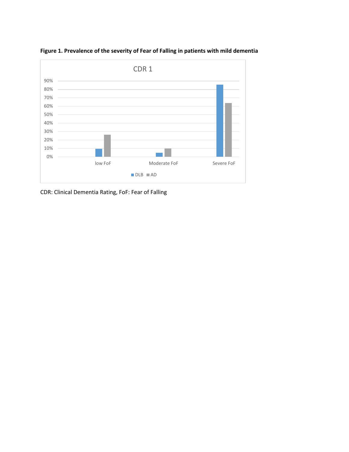

**Figure 1. Prevalence of the severity of Fear of Falling in patients with mild dementia**

CDR: Clinical Dementia Rating, FoF: Fear of Falling